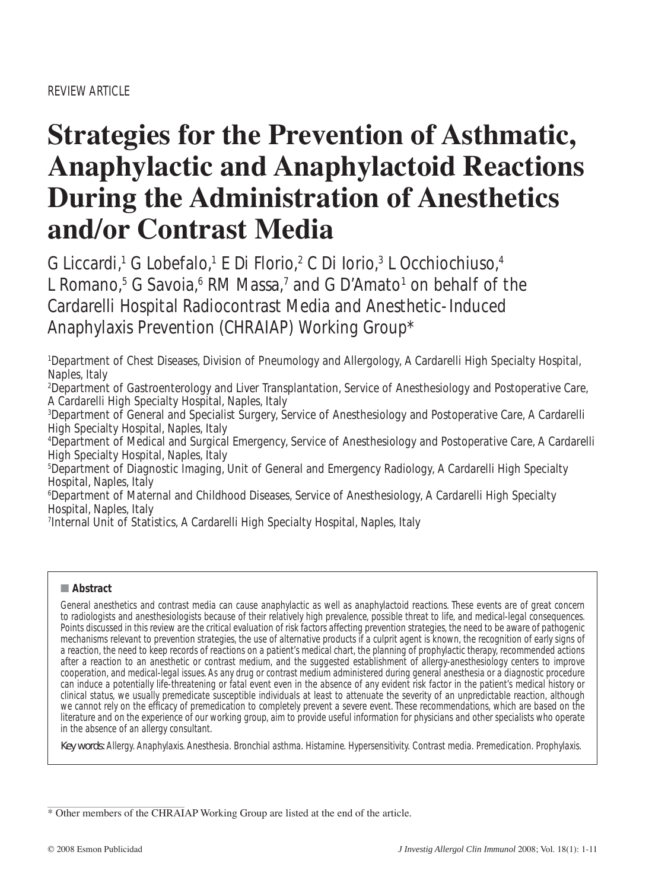# **Strategies for the Prevention of Asthmatic, Anaphylactic and Anaphylactoid Reactions During the Administration of Anesthetics and/or Contrast Media**

G Liccardi,<sup>1</sup> G Lobefalo,<sup>1</sup> E Di Florio,<sup>2</sup> C Di Iorio,<sup>3</sup> L Occhiochiuso,<sup>4</sup> L Romano,<sup>5</sup> G Savoia,<sup>6</sup> RM Massa,<sup>7</sup> and G D'Amato<sup>1</sup> on behalf of the Cardarelli Hospital Radiocontrast Media and Anesthetic-Induced Anaphylaxis Prevention (CHRAIAP) Working Group\*

1 Department of Chest Diseases, Division of Pneumology and Allergology, A Cardarelli High Specialty Hospital, Naples, Italy

2 Department of Gastroenterology and Liver Transplantation, Service of Anesthesiology and Postoperative Care, A Cardarelli High Specialty Hospital, Naples, Italy

3 Department of General and Specialist Surgery, Service of Anesthesiology and Postoperative Care, A Cardarelli High Specialty Hospital, Naples, Italy

4 Department of Medical and Surgical Emergency, Service of Anesthesiology and Postoperative Care, A Cardarelli High Specialty Hospital, Naples, Italy

5 Department of Diagnostic Imaging, Unit of General and Emergency Radiology, A Cardarelli High Specialty Hospital, Naples, Italy

6 Department of Maternal and Childhood Diseases, Service of Anesthesiology, A Cardarelli High Specialty Hospital, Naples, Italy

7 Internal Unit of Statistics, A Cardarelli High Specialty Hospital, Naples, Italy

## ■ **Abstract**

General anesthetics and contrast media can cause anaphylactic as well as anaphylactoid reactions. These events are of great concern to radiologists and anesthesiologists because of their relatively high prevalence, possible threat to life, and medical-legal consequences. Points discussed in this review are the critical evaluation of risk factors affecting prevention strategies, the need to be aware of pathogenic mechanisms relevant to prevention strategies, the use of alternative products if a culprit agent is known, the recognition of early signs of a reaction, the need to keep records of reactions on a patient's medical chart, the planning of prophylactic therapy, recommended actions after a reaction to an anesthetic or contrast medium, and the suggested establishment of allergy-anesthesiology centers to improve cooperation, and medical-legal issues. As any drug or contrast medium administered during general anesthesia or a diagnostic procedure can induce a potentially life-threatening or fatal event even in the absence of any evident risk factor in the patient's medical history or clinical status, we usually premedicate susceptible individuals at least to attenuate the severity of an unpredictable reaction, although we cannot rely on the efficacy of premedication to completely prevent a severe event. These recommendations, which are based on the literature and on the experience of our working group, aim to provide useful information for physicians and other specialists who operate in the absence of an allergy consultant.

Key words: Allergy. Anaphylaxis. Anesthesia. Bronchial asthma. Histamine. Hypersensitivity. Contrast media. Premedication. Prophylaxis.

\* Other members of the CHRAIAP Working Group are listed at the end of the article.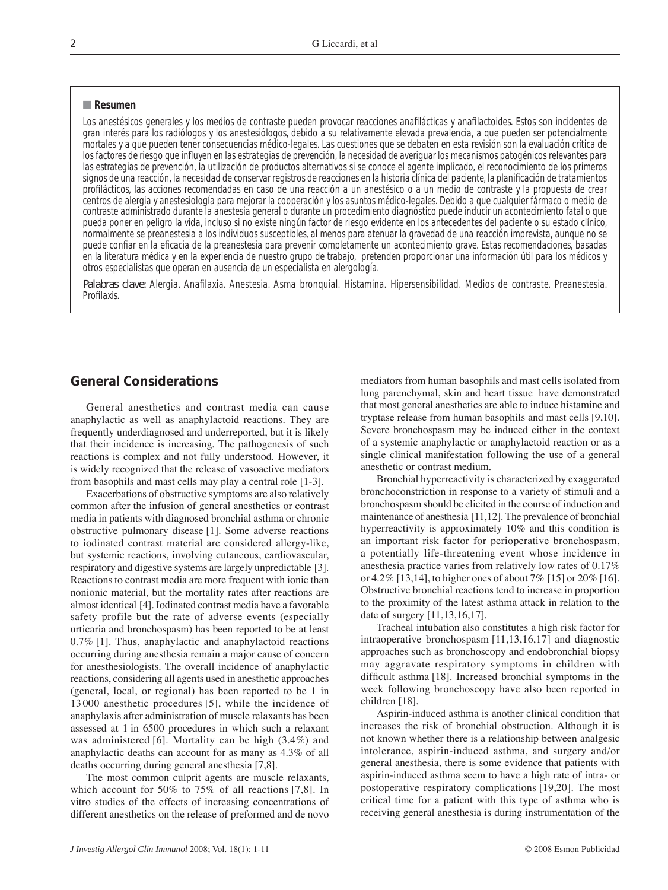#### ■ **Resumen**

Los anestésicos generales y los medios de contraste pueden provocar reacciones anafilácticas y anafilactoides. Estos son incidentes de gran interés para los radiólogos y los anestesiólogos, debido a su relativamente elevada prevalencia, a que pueden ser potencialmente mortales y a que pueden tener consecuencias médico-legales. Las cuestiones que se debaten en esta revisión son la evaluación crítica de los factores de riesgo que influyen en las estrategias de prevención, la necesidad de averiguar los mecanismos patogénicos relevantes para las estrategias de prevención, la utilización de productos alternativos si se conoce el agente implicado, el reconocimiento de los primeros signos de una reacción, la necesidad de conservar registros de reacciones en la historia clínica del paciente, la planificación de tratamientos profilácticos, las acciones recomendadas en caso de una reacción a un anestésico o a un medio de contraste y la propuesta de crear centros de alergia y anestesiología para mejorar la cooperación y los asuntos médico-legales. Debido a que cualquier fármaco o medio de contraste administrado durante la anestesia general o durante un procedimiento diagnóstico puede inducir un acontecimiento fatal o que pueda poner en peligro la vida, incluso si no existe ningún factor de riesgo evidente en los antecedentes del paciente o su estado clínico, normalmente se preanestesia a los individuos susceptibles, al menos para atenuar la gravedad de una reacción imprevista, aunque no se puede confiar en la eficacia de la preanestesia para prevenir completamente un acontecimiento grave. Estas recomendaciones, basadas en la literatura médica y en la experiencia de nuestro grupo de trabajo, pretenden proporcionar una información útil para los médicos y otros especialistas que operan en ausencia de un especialista en alergología.

Palabras clave: Alergia. Anafilaxia. Anestesia. Asma bronquial. Histamina. Hipersensibilidad. Medios de contraste. Preanestesia. Profilaxis

## **General Considerations**

General anesthetics and contrast media can cause anaphylactic as well as anaphylactoid reactions. They are frequently underdiagnosed and underreported, but it is likely that their incidence is increasing. The pathogenesis of such reactions is complex and not fully understood. However, it is widely recognized that the release of vasoactive mediators from basophils and mast cells may play a central role [1-3].

Exacerbations of obstructive symptoms are also relatively common after the infusion of general anesthetics or contrast media in patients with diagnosed bronchial asthma or chronic obstructive pulmonary disease [1]. Some adverse reactions to iodinated contrast material are considered allergy-like, but systemic reactions, involving cutaneous, cardiovascular, respiratory and digestive systems are largely unpredictable [3]. Reactions to contrast media are more frequent with ionic than nonionic material, but the mortality rates after reactions are almost identical [4]. Iodinated contrast media have a favorable safety profile but the rate of adverse events (especially urticaria and bronchospasm) has been reported to be at least 0.7% [1]. Thus, anaphylactic and anaphylactoid reactions occurring during anesthesia remain a major cause of concern for anesthesiologists. The overall incidence of anaphylactic reactions, considering all agents used in anesthetic approaches (general, local, or regional) has been reported to be 1 in 13 000 anesthetic procedures [5], while the incidence of anaphylaxis after administration of muscle relaxants has been assessed at 1 in 6500 procedures in which such a relaxant was administered [6]. Mortality can be high (3.4%) and anaphylactic deaths can account for as many as 4.3% of all deaths occurring during general anesthesia [7,8].

The most common culprit agents are muscle relaxants, which account for 50% to 75% of all reactions [7,8]. In vitro studies of the effects of increasing concentrations of different anesthetics on the release of preformed and de novo mediators from human basophils and mast cells isolated from lung parenchymal, skin and heart tissue have demonstrated that most general anesthetics are able to induce histamine and tryptase release from human basophils and mast cells [9,10]. Severe bronchospasm may be induced either in the context of a systemic anaphylactic or anaphylactoid reaction or as a single clinical manifestation following the use of a general anesthetic or contrast medium.

Bronchial hyperreactivity is characterized by exaggerated bronchoconstriction in response to a variety of stimuli and a bronchospasm should be elicited in the course of induction and maintenance of anesthesia [11,12]. The prevalence of bronchial hyperreactivity is approximately 10% and this condition is an important risk factor for perioperative bronchospasm, a potentially life-threatening event whose incidence in anesthesia practice varies from relatively low rates of 0.17% or 4.2% [13,14], to higher ones of about 7% [15] or 20% [16]. Obstructive bronchial reactions tend to increase in proportion to the proximity of the latest asthma attack in relation to the date of surgery [11,13,16,17].

Tracheal intubation also constitutes a high risk factor for intraoperative bronchospasm [11,13,16,17] and diagnostic approaches such as bronchoscopy and endobronchial biopsy may aggravate respiratory symptoms in children with difficult asthma [18]. Increased bronchial symptoms in the week following bronchoscopy have also been reported in children [18].

Aspirin-induced asthma is another clinical condition that increases the risk of bronchial obstruction. Although it is not known whether there is a relationship between analgesic intolerance, aspirin-induced asthma, and surgery and/or general anesthesia, there is some evidence that patients with aspirin-induced asthma seem to have a high rate of intra- or postoperative respiratory complications [19,20]. The most critical time for a patient with this type of asthma who is receiving general anesthesia is during instrumentation of the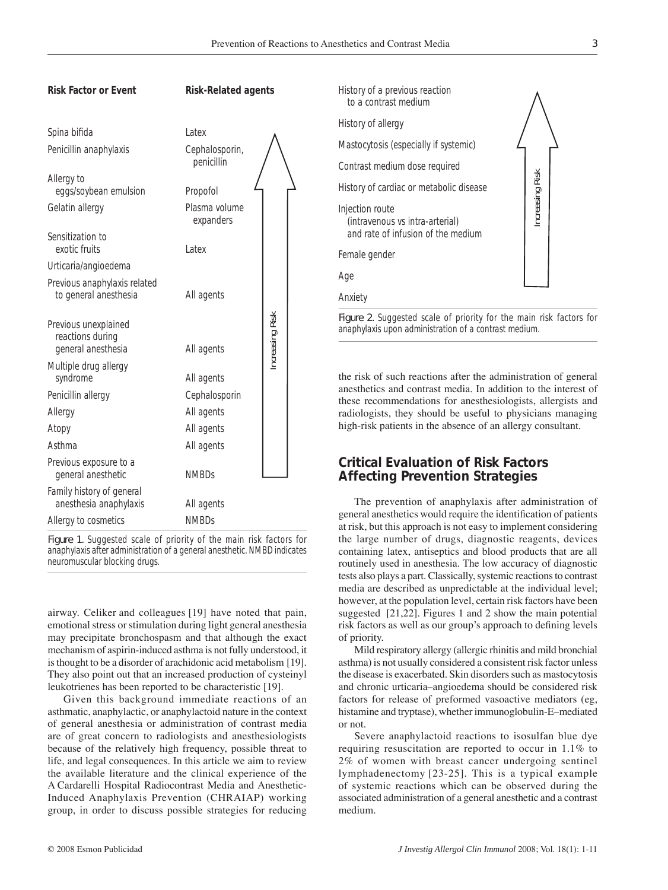



Figure 1. Suggested scale of priority of the main risk factors for anaphylaxis after administration of a general anesthetic. NMBD indicates neuromuscular blocking drugs.

airway. Celiker and colleagues [19] have noted that pain, emotional stress or stimulation during light general anesthesia may precipitate bronchospasm and that although the exact mechanism of aspirin-induced asthma is not fully understood, it is thought to be a disorder of arachidonic acid metabolism [19]. They also point out that an increased production of cysteinyl leukotrienes has been reported to be characteristic [19].

Given this background immediate reactions of an asthmatic, anaphylactic, or anaphylactoid nature in the context of general anesthesia or administration of contrast media are of great concern to radiologists and anesthesiologists because of the relatively high frequency, possible threat to life, and legal consequences. In this article we aim to review the available literature and the clinical experience of the A Cardarelli Hospital Radiocontrast Media and Anesthetic-Induced Anaphylaxis Prevention (CHRAIAP) working group, in order to discuss possible strategies for reducing



the risk of such reactions after the administration of general anesthetics and contrast media. In addition to the interest of these recommendations for anesthesiologists, allergists and radiologists, they should be useful to physicians managing high-risk patients in the absence of an allergy consultant.

## **Critical Evaluation of Risk Factors Affecting Prevention Strategies**

The prevention of anaphylaxis after administration of general anesthetics would require the identification of patients at risk, but this approach is not easy to implement considering the large number of drugs, diagnostic reagents, devices containing latex, antiseptics and blood products that are all routinely used in anesthesia. The low accuracy of diagnostic tests also plays a part. Classically, systemic reactions to contrast media are described as unpredictable at the individual level; however, at the population level, certain risk factors have been suggested [21,22]. Figures 1 and 2 show the main potential risk factors as well as our group's approach to defining levels of priority.

Mild respiratory allergy (allergic rhinitis and mild bronchial asthma) is not usually considered a consistent risk factor unless the disease is exacerbated. Skin disorders such as mastocytosis and chronic urticaria–angioedema should be considered risk factors for release of preformed vasoactive mediators (eg, histamine and tryptase), whether immunoglobulin-E–mediated or not.

Severe anaphylactoid reactions to isosulfan blue dye requiring resuscitation are reported to occur in 1.1% to 2% of women with breast cancer undergoing sentinel lymphadenectomy [23-25]. This is a typical example of systemic reactions which can be observed during the associated administration of a general anesthetic and a contrast medium.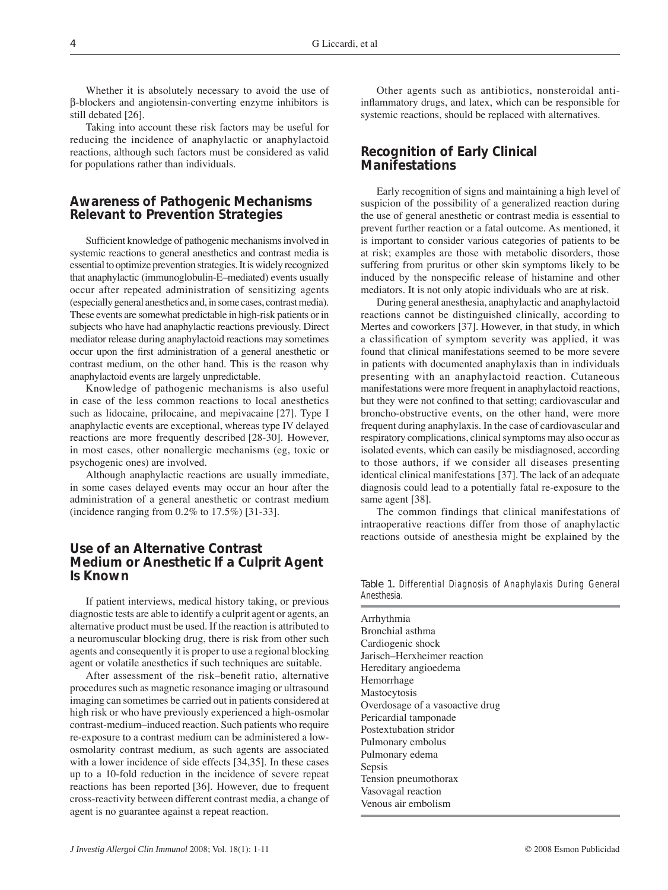Whether it is absolutely necessary to avoid the use of β-blockers and angiotensin-converting enzyme inhibitors is still debated [26].

Taking into account these risk factors may be useful for reducing the incidence of anaphylactic or anaphylactoid reactions, although such factors must be considered as valid for populations rather than individuals.

## **Awareness of Pathogenic Mechanisms Relevant to Prevention Strategies**

Sufficient knowledge of pathogenic mechanisms involved in systemic reactions to general anesthetics and contrast media is essential to optimize prevention strategies. It is widely recognized that anaphylactic (immunoglobulin-E–mediated) events usually occur after repeated administration of sensitizing agents (especially general anesthetics and, in some cases, contrast media). These events are somewhat predictable in high-risk patients or in subjects who have had anaphylactic reactions previously. Direct mediator release during anaphylactoid reactions may sometimes occur upon the first administration of a general anesthetic or contrast medium, on the other hand. This is the reason why anaphylactoid events are largely unpredictable.

Knowledge of pathogenic mechanisms is also useful in case of the less common reactions to local anesthetics such as lidocaine, prilocaine, and mepivacaine [27]. Type I anaphylactic events are exceptional, whereas type IV delayed reactions are more frequently described [28-30]. However, in most cases, other nonallergic mechanisms (eg, toxic or psychogenic ones) are involved.

Although anaphylactic reactions are usually immediate, in some cases delayed events may occur an hour after the administration of a general anesthetic or contrast medium (incidence ranging from 0.2% to 17.5%) [31-33].

## **Use of an Alternative Contrast Medium or Anesthetic If a Culprit Agent Is Known**

If patient interviews, medical history taking, or previous diagnostic tests are able to identify a culprit agent or agents, an alternative product must be used. If the reaction is attributed to a neuromuscular blocking drug, there is risk from other such agents and consequently it is proper to use a regional blocking agent or volatile anesthetics if such techniques are suitable.

After assessment of the risk–benefit ratio, alternative procedures such as magnetic resonance imaging or ultrasound imaging can sometimes be carried out in patients considered at high risk or who have previously experienced a high-osmolar contrast-medium–induced reaction. Such patients who require re-exposure to a contrast medium can be administered a lowosmolarity contrast medium, as such agents are associated with a lower incidence of side effects [34,35]. In these cases up to a 10-fold reduction in the incidence of severe repeat reactions has been reported [36]. However, due to frequent cross-reactivity between different contrast media, a change of agent is no guarantee against a repeat reaction.

Other agents such as antibiotics, nonsteroidal antiinflammatory drugs, and latex, which can be responsible for systemic reactions, should be replaced with alternatives.

## **Recognition of Early Clinical Manifestations**

Early recognition of signs and maintaining a high level of suspicion of the possibility of a generalized reaction during the use of general anesthetic or contrast media is essential to prevent further reaction or a fatal outcome. As mentioned, it is important to consider various categories of patients to be at risk; examples are those with metabolic disorders, those suffering from pruritus or other skin symptoms likely to be induced by the nonspecific release of histamine and other mediators. It is not only atopic individuals who are at risk.

During general anesthesia, anaphylactic and anaphylactoid reactions cannot be distinguished clinically, according to Mertes and coworkers [37]. However, in that study, in which a classification of symptom severity was applied, it was found that clinical manifestations seemed to be more severe in patients with documented anaphylaxis than in individuals presenting with an anaphylactoid reaction. Cutaneous manifestations were more frequent in anaphylactoid reactions, but they were not confined to that setting; cardiovascular and broncho-obstructive events, on the other hand, were more frequent during anaphylaxis. In the case of cardiovascular and respiratory complications, clinical symptoms may also occur as isolated events, which can easily be misdiagnosed, according to those authors, if we consider all diseases presenting identical clinical manifestations [37]. The lack of an adequate diagnosis could lead to a potentially fatal re-exposure to the same agent [38].

The common findings that clinical manifestations of intraoperative reactions differ from those of anaphylactic reactions outside of anesthesia might be explained by the

Table 1. Differential Diagnosis of Anaphylaxis During General Anesthesia.

| Arrhythmia                      |
|---------------------------------|
| Bronchial asthma                |
| Cardiogenic shock               |
| Jarisch-Herxheimer reaction     |
| Hereditary angioedema           |
| Hemorrhage                      |
| Mastocytosis                    |
| Overdosage of a vasoactive drug |
| Pericardial tamponade           |
| Postextubation stridor          |
| Pulmonary embolus               |
| Pulmonary edema                 |
| Sepsis                          |
| Tension pneumothorax            |
| Vasovagal reaction              |
| Venous air embolism             |
|                                 |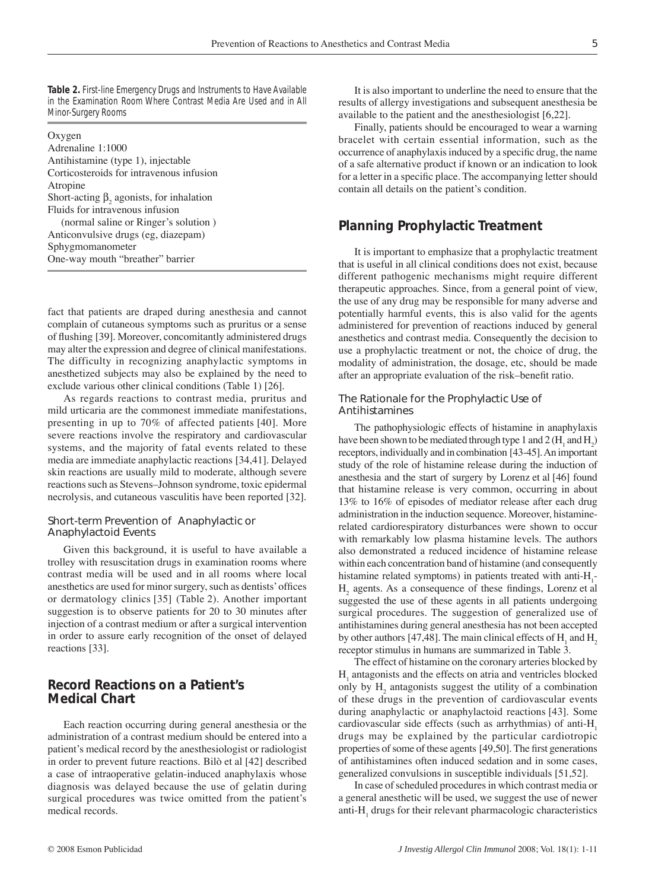**Table 2.** First-line Emergency Drugs and Instruments to Have Available in the Examination Room Where Contrast Media Are Used and in All Minor-Surgery Rooms

| Oxygen                                          |
|-------------------------------------------------|
| Adrenaline 1:1000                               |
| Antihistamine (type 1), injectable              |
| Corticosteroids for intravenous infusion        |
| Atropine                                        |
| Short-acting $\beta$ , agonists, for inhalation |
| Fluids for intravenous infusion                 |
| (normal saline or Ringer's solution)            |
| Anticonvulsive drugs (eg, diazepam)             |
| Sphygmomanometer                                |
| One-way mouth "breather" barrier                |

fact that patients are draped during anesthesia and cannot complain of cutaneous symptoms such as pruritus or a sense of flushing [39]. Moreover, concomitantly administered drugs may alter the expression and degree of clinical manifestations. The difficulty in recognizing anaphylactic symptoms in anesthetized subjects may also be explained by the need to exclude various other clinical conditions (Table 1) [26].

As regards reactions to contrast media, pruritus and mild urticaria are the commonest immediate manifestations, presenting in up to 70% of affected patients [40]. More severe reactions involve the respiratory and cardiovascular systems, and the majority of fatal events related to these media are immediate anaphylactic reactions [34,41]. Delayed skin reactions are usually mild to moderate, although severe reactions such as Stevens–Johnson syndrome, toxic epidermal necrolysis, and cutaneous vasculitis have been reported [32].

#### *Short-term Prevention of Anaphylactic or Anaphylactoid Events*

Given this background, it is useful to have available a trolley with resuscitation drugs in examination rooms where contrast media will be used and in all rooms where local anesthetics are used for minor surgery, such as dentists' offices or dermatology clinics [35] (Table 2). Another important suggestion is to observe patients for 20 to 30 minutes after injection of a contrast medium or after a surgical intervention in order to assure early recognition of the onset of delayed reactions [33].

## **Record Reactions on a Patient's Medical Chart**

Each reaction occurring during general anesthesia or the administration of a contrast medium should be entered into a patient's medical record by the anesthesiologist or radiologist in order to prevent future reactions. Bilò et al [42] described a case of intraoperative gelatin-induced anaphylaxis whose diagnosis was delayed because the use of gelatin during surgical procedures was twice omitted from the patient's medical records.

It is also important to underline the need to ensure that the results of allergy investigations and subsequent anesthesia be available to the patient and the anesthesiologist [6,22].

Finally, patients should be encouraged to wear a warning bracelet with certain essential information, such as the occurrence of anaphylaxis induced by a specific drug, the name of a safe alternative product if known or an indication to look for a letter in a specific place. The accompanying letter should contain all details on the patient's condition.

# **Planning Prophylactic Treatment**

It is important to emphasize that a prophylactic treatment that is useful in all clinical conditions does not exist, because different pathogenic mechanisms might require different therapeutic approaches. Since, from a general point of view, the use of any drug may be responsible for many adverse and potentially harmful events, this is also valid for the agents administered for prevention of reactions induced by general anesthetics and contrast media. Consequently the decision to use a prophylactic treatment or not, the choice of drug, the modality of administration, the dosage, etc, should be made after an appropriate evaluation of the risk–benefit ratio.

#### *The Rationale for the Prophylactic Use of Antihistamines*

The pathophysiologic effects of histamine in anaphylaxis have been shown to be mediated through type 1 and 2 ( $H_1$  and  $H_2$ ) receptors, individually and in combination [43-45]. An important study of the role of histamine release during the induction of anesthesia and the start of surgery by Lorenz et al [46] found that histamine release is very common, occurring in about 13% to 16% of episodes of mediator release after each drug administration in the induction sequence. Moreover, histaminerelated cardiorespiratory disturbances were shown to occur with remarkably low plasma histamine levels. The authors also demonstrated a reduced incidence of histamine release within each concentration band of histamine (and consequently histamine related symptoms) in patients treated with anti- $H_1$ - $H<sub>2</sub>$  agents. As a consequence of these findings, Lorenz et al suggested the use of these agents in all patients undergoing surgical procedures. The suggestion of generalized use of antihistamines during general anesthesia has not been accepted by other authors [47,48]. The main clinical effects of  $H_1$  and  $H_2$ receptor stimulus in humans are summarized in Table 3.

The effect of histamine on the coronary arteries blocked by  $H<sub>1</sub>$  antagonists and the effects on atria and ventricles blocked only by  $H_2$  antagonists suggest the utility of a combination of these drugs in the prevention of cardiovascular events during anaphylactic or anaphylactoid reactions [43]. Some cardiovascular side effects (such as arrhythmias) of anti-H<sub>1</sub> drugs may be explained by the particular cardiotropic properties of some of these agents [49,50]. The first generations of antihistamines often induced sedation and in some cases, generalized convulsions in susceptible individuals [51,52].

In case of scheduled procedures in which contrast media or a general anesthetic will be used, we suggest the use of newer anti- $H_1$  drugs for their relevant pharmacologic characteristics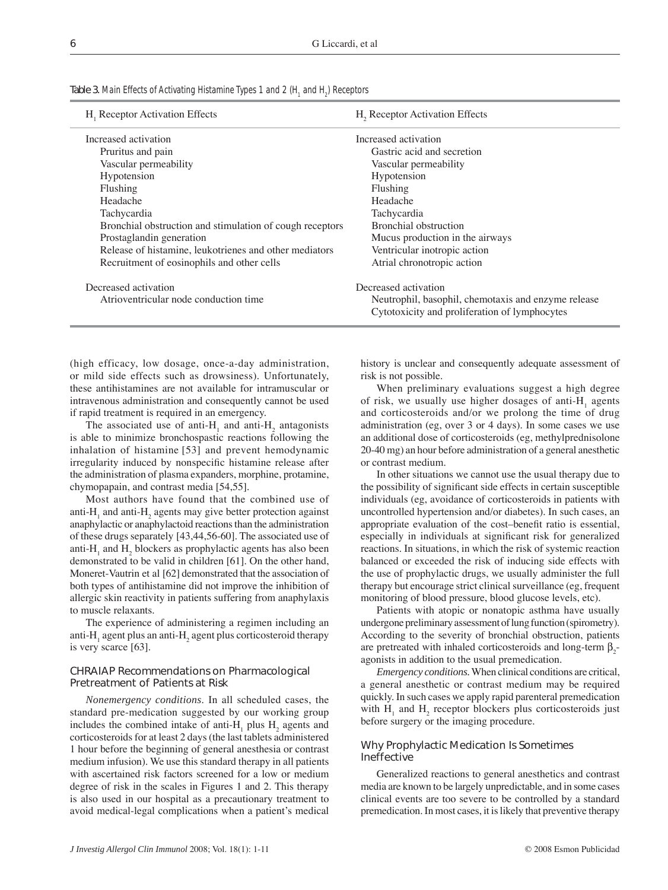| Table 3. Main Effects of Activating Histamine Types 1 and 2 (H <sub>1</sub> and H <sub>2</sub> ) Receptors |  |
|------------------------------------------------------------------------------------------------------------|--|
|------------------------------------------------------------------------------------------------------------|--|

| H <sub>1</sub> Receptor Activation Effects               | H <sub>2</sub> Receptor Activation Effects                                                           |  |  |  |
|----------------------------------------------------------|------------------------------------------------------------------------------------------------------|--|--|--|
| Increased activation                                     | Increased activation                                                                                 |  |  |  |
| Pruritus and pain                                        | Gastric acid and secretion                                                                           |  |  |  |
| Vascular permeability                                    | Vascular permeability                                                                                |  |  |  |
| Hypotension                                              | Hypotension                                                                                          |  |  |  |
| Flushing                                                 | Flushing                                                                                             |  |  |  |
| Headache                                                 | Headache                                                                                             |  |  |  |
| Tachycardia                                              | Tachycardia                                                                                          |  |  |  |
| Bronchial obstruction and stimulation of cough receptors | Bronchial obstruction                                                                                |  |  |  |
| Prostaglandin generation                                 | Mucus production in the airways                                                                      |  |  |  |
| Release of histamine, leukotrienes and other mediators   | Ventricular inotropic action                                                                         |  |  |  |
| Recruitment of eosinophils and other cells               | Atrial chronotropic action                                                                           |  |  |  |
| Decreased activation                                     | Decreased activation                                                                                 |  |  |  |
| Atrioventricular node conduction time                    | Neutrophil, basophil, chemotaxis and enzyme release<br>Cytotoxicity and proliferation of lymphocytes |  |  |  |

(high efficacy, low dosage, once-a-day administration, or mild side effects such as drowsiness). Unfortunately, these antihistamines are not available for intramuscular or intravenous administration and consequently cannot be used if rapid treatment is required in an emergency.

The associated use of anti- $H_1$  and anti- $H_2$  antagonists is able to minimize bronchospastic reactions following the inhalation of histamine [53] and prevent hemodynamic irregularity induced by nonspecific histamine release after the administration of plasma expanders, morphine, protamine, chymopapain, and contrast media [54,55].

Most authors have found that the combined use of anti- $H_1$  and anti- $H_2$  agents may give better protection against anaphylactic or anaphylactoid reactions than the administration of these drugs separately [43,44,56-60]. The associated use of anti- $H_1$  and  $H_2$  blockers as prophylactic agents has also been demonstrated to be valid in children [61]. On the other hand, Moneret-Vautrin et al [62] demonstrated that the association of both types of antihistamine did not improve the inhibition of allergic skin reactivity in patients suffering from anaphylaxis to muscle relaxants.

The experience of administering a regimen including an anti- $H_1$  agent plus an anti- $H_2$  agent plus corticosteroid therapy is very scarce [63].

#### *CHRAIAP Recommendations on Pharmacological Pretreatment of Patients at Risk*

*Nonemergency conditions*. In all scheduled cases, the standard pre-medication suggested by our working group includes the combined intake of anti- $H_1$  plus  $H_2$  agents and corticosteroids for at least 2 days (the last tablets administered 1 hour before the beginning of general anesthesia or contrast medium infusion). We use this standard therapy in all patients with ascertained risk factors screened for a low or medium degree of risk in the scales in Figures 1 and 2. This therapy is also used in our hospital as a precautionary treatment to avoid medical-legal complications when a patient's medical

history is unclear and consequently adequate assessment of risk is not possible.

When preliminary evaluations suggest a high degree of risk, we usually use higher dosages of anti- $H_1$  agents and corticosteroids and/or we prolong the time of drug administration (eg, over 3 or 4 days). In some cases we use an additional dose of corticosteroids (eg, methylprednisolone 20-40 mg) an hour before administration of a general anesthetic or contrast medium.

In other situations we cannot use the usual therapy due to the possibility of significant side effects in certain susceptible individuals (eg, avoidance of corticosteroids in patients with uncontrolled hypertension and/or diabetes). In such cases, an appropriate evaluation of the cost–benefit ratio is essential, especially in individuals at significant risk for generalized reactions. In situations, in which the risk of systemic reaction balanced or exceeded the risk of inducing side effects with the use of prophylactic drugs, we usually administer the full therapy but encourage strict clinical surveillance (eg, frequent monitoring of blood pressure, blood glucose levels, etc).

Patients with atopic or nonatopic asthma have usually undergone preliminary assessment of lung function (spirometry). According to the severity of bronchial obstruction, patients are pretreated with inhaled corticosteroids and long-term  $\beta_2$ agonists in addition to the usual premedication.

*Emergency conditions.* When clinical conditions are critical, a general anesthetic or contrast medium may be required quickly. In such cases we apply rapid parenteral premedication with  $H_1$  and  $H_2$  receptor blockers plus corticosteroids just before surgery or the imaging procedure.

#### *Why Prophylactic Medication Is Sometimes Ineffective*

Generalized reactions to general anesthetics and contrast media are known to be largely unpredictable, and in some cases clinical events are too severe to be controlled by a standard premedication. In most cases, it is likely that preventive therapy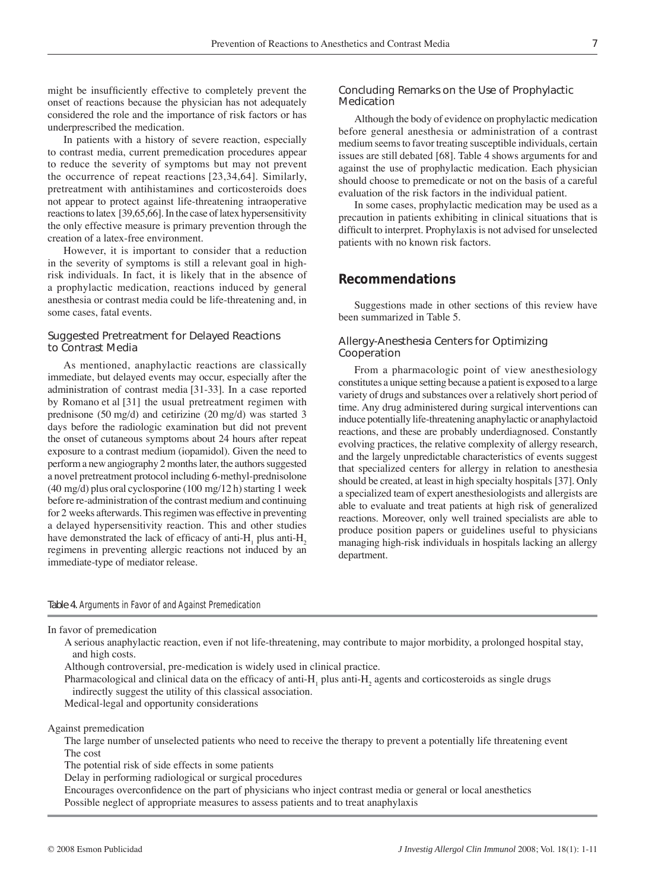might be insufficiently effective to completely prevent the onset of reactions because the physician has not adequately considered the role and the importance of risk factors or has underprescribed the medication.

In patients with a history of severe reaction, especially to contrast media, current premedication procedures appear to reduce the severity of symptoms but may not prevent the occurrence of repeat reactions [23,34,64]. Similarly, pretreatment with antihistamines and corticosteroids does not appear to protect against life-threatening intraoperative reactions to latex [39,65,66]. In the case of latex hypersensitivity the only effective measure is primary prevention through the creation of a latex-free environment.

However, it is important to consider that a reduction in the severity of symptoms is still a relevant goal in highrisk individuals. In fact, it is likely that in the absence of a prophylactic medication, reactions induced by general anesthesia or contrast media could be life-threatening and, in some cases, fatal events.

#### *Suggested Pretreatment for Delayed Reactions to Contrast Media*

As mentioned, anaphylactic reactions are classically immediate, but delayed events may occur, especially after the administration of contrast media [31-33]. In a case reported by Romano et al [31] the usual pretreatment regimen with prednisone (50 mg/d) and cetirizine (20 mg/d) was started 3 days before the radiologic examination but did not prevent the onset of cutaneous symptoms about 24 hours after repeat exposure to a contrast medium (iopamidol). Given the need to perform a new angiography 2 months later, the authors suggested a novel pretreatment protocol including 6-methyl-prednisolone (40 mg/d) plus oral cyclosporine (100 mg/12 h) starting 1 week before re-administration of the contrast medium and continuing for 2 weeks afterwards. This regimen was effective in preventing a delayed hypersensitivity reaction. This and other studies have demonstrated the lack of efficacy of anti-H<sub>1</sub> plus anti-H<sub>2</sub> regimens in preventing allergic reactions not induced by an immediate-type of mediator release.

#### *Concluding Remarks on the Use of Prophylactic Medication*

Although the body of evidence on prophylactic medication before general anesthesia or administration of a contrast medium seems to favor treating susceptible individuals, certain issues are still debated [68]. Table 4 shows arguments for and against the use of prophylactic medication. Each physician should choose to premedicate or not on the basis of a careful evaluation of the risk factors in the individual patient.

In some cases, prophylactic medication may be used as a precaution in patients exhibiting in clinical situations that is difficult to interpret. Prophylaxis is not advised for unselected patients with no known risk factors.

## **Recommendations**

Suggestions made in other sections of this review have been summarized in Table 5.

#### *Allergy-Anesthesia Centers for Optimizing Cooperation*

From a pharmacologic point of view anesthesiology constitutes a unique setting because a patient is exposed to a large variety of drugs and substances over a relatively short period of time. Any drug administered during surgical interventions can induce potentially life-threatening anaphylactic or anaphylactoid reactions, and these are probably underdiagnosed. Constantly evolving practices, the relative complexity of allergy research, and the largely unpredictable characteristics of events suggest that specialized centers for allergy in relation to anesthesia should be created, at least in high specialty hospitals [37]. Only a specialized team of expert anesthesiologists and allergists are able to evaluate and treat patients at high risk of generalized reactions. Moreover, only well trained specialists are able to produce position papers or guidelines useful to physicians managing high-risk individuals in hospitals lacking an allergy department.

Table 4. Arguments in Favor of and Against Premedication

In favor of premedication

 A serious anaphylactic reaction, even if not life-threatening, may contribute to major morbidity, a prolonged hospital stay, and high costs.

Although controversial, pre-medication is widely used in clinical practice.

Pharmacological and clinical data on the efficacy of anti- $H_1$  plus anti- $H_2$  agents and corticosteroids as single drugs indirectly suggest the utility of this classical association.

Medical-legal and opportunity considerations

Against premedication

 The large number of unselected patients who need to receive the therapy to prevent a potentially life threatening event The cost

The potential risk of side effects in some patients

Delay in performing radiological or surgical procedures

Encourages overconfidence on the part of physicians who inject contrast media or general or local anesthetics Possible neglect of appropriate measures to assess patients and to treat anaphylaxis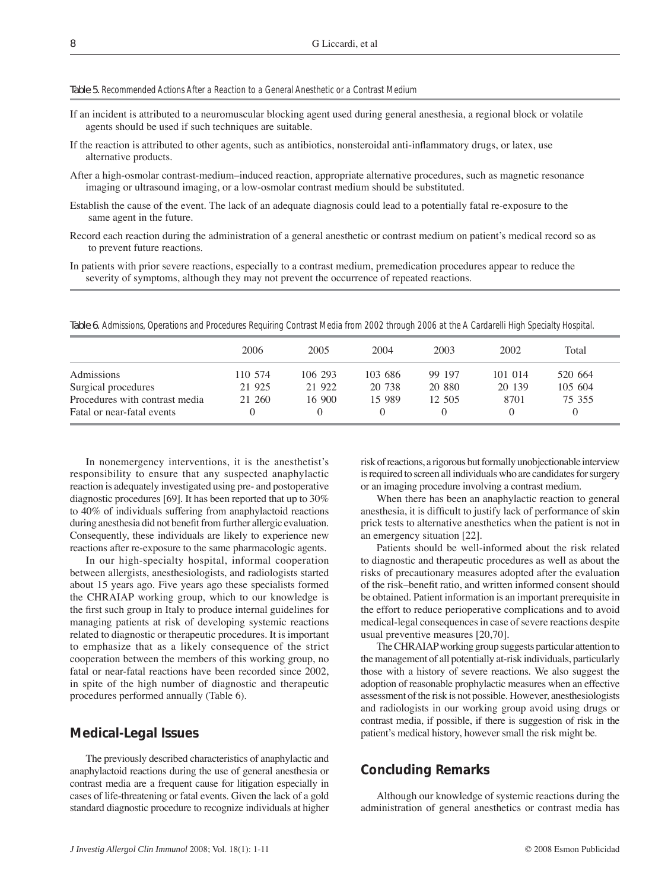#### Table 5. Recommended Actions After a Reaction to a General Anesthetic or a Contrast Medium

- If an incident is attributed to a neuromuscular blocking agent used during general anesthesia, a regional block or volatile agents should be used if such techniques are suitable.
- If the reaction is attributed to other agents, such as antibiotics, nonsteroidal anti-inflammatory drugs, or latex, use alternative products.
- After a high-osmolar contrast-medium–induced reaction, appropriate alternative procedures, such as magnetic resonance imaging or ultrasound imaging, or a low-osmolar contrast medium should be substituted.
- Establish the cause of the event. The lack of an adequate diagnosis could lead to a potentially fatal re-exposure to the same agent in the future.
- Record each reaction during the administration of a general anesthetic or contrast medium on patient's medical record so as to prevent future reactions.
- In patients with prior severe reactions, especially to a contrast medium, premedication procedures appear to reduce the severity of symptoms, although they may not prevent the occurrence of repeated reactions.

Table 6. Admissions, Operations and Procedures Requiring Contrast Media from 2002 through 2006 at the A Cardarelli High Specialty Hospital.

|                                | 2006    | 2005    | 2004    | 2003   | 2002    | Total   |
|--------------------------------|---------|---------|---------|--------|---------|---------|
| Admissions                     | 110 574 | 106 293 | 103 686 | 99 197 | 101 014 | 520 664 |
| Surgical procedures            | 21 925  | 21 922  | 20 738  | 20 880 | 20 139  | 105 604 |
| Procedures with contrast media | 21 260  | 16 900  | 15 989  | 12.505 | 8701    | 75 355  |
| Fatal or near-fatal events     |         |         |         |        |         |         |

In nonemergency interventions, it is the anesthetist's responsibility to ensure that any suspected anaphylactic reaction is adequately investigated using pre- and postoperative diagnostic procedures [69]. It has been reported that up to 30% to 40% of individuals suffering from anaphylactoid reactions during anesthesia did not benefit from further allergic evaluation. Consequently, these individuals are likely to experience new reactions after re-exposure to the same pharmacologic agents.

In our high-specialty hospital, informal cooperation between allergists, anesthesiologists, and radiologists started about 15 years ago. Five years ago these specialists formed the CHRAIAP working group, which to our knowledge is the first such group in Italy to produce internal guidelines for managing patients at risk of developing systemic reactions related to diagnostic or therapeutic procedures. It is important to emphasize that as a likely consequence of the strict cooperation between the members of this working group, no fatal or near-fatal reactions have been recorded since 2002, in spite of the high number of diagnostic and therapeutic procedures performed annually (Table 6).

#### **Medical-Legal Issues**

The previously described characteristics of anaphylactic and anaphylactoid reactions during the use of general anesthesia or contrast media are a frequent cause for litigation especially in cases of life-threatening or fatal events. Given the lack of a gold standard diagnostic procedure to recognize individuals at higher risk of reactions, a rigorous but formally unobjectionable interview is required to screen all individuals who are candidates for surgery or an imaging procedure involving a contrast medium.

When there has been an anaphylactic reaction to general anesthesia, it is difficult to justify lack of performance of skin prick tests to alternative anesthetics when the patient is not in an emergency situation [22].

Patients should be well-informed about the risk related to diagnostic and therapeutic procedures as well as about the risks of precautionary measures adopted after the evaluation of the risk–benefit ratio, and written informed consent should be obtained. Patient information is an important prerequisite in the effort to reduce perioperative complications and to avoid medical-legal consequences in case of severe reactions despite usual preventive measures [20,70].

The CHRAIAP working group suggests particular attention to the management of all potentially at-risk individuals, particularly those with a history of severe reactions. We also suggest the adoption of reasonable prophylactic measures when an effective assessment of the risk is not possible. However, anesthesiologists and radiologists in our working group avoid using drugs or contrast media, if possible, if there is suggestion of risk in the patient's medical history, however small the risk might be.

## **Concluding Remarks**

Although our knowledge of systemic reactions during the administration of general anesthetics or contrast media has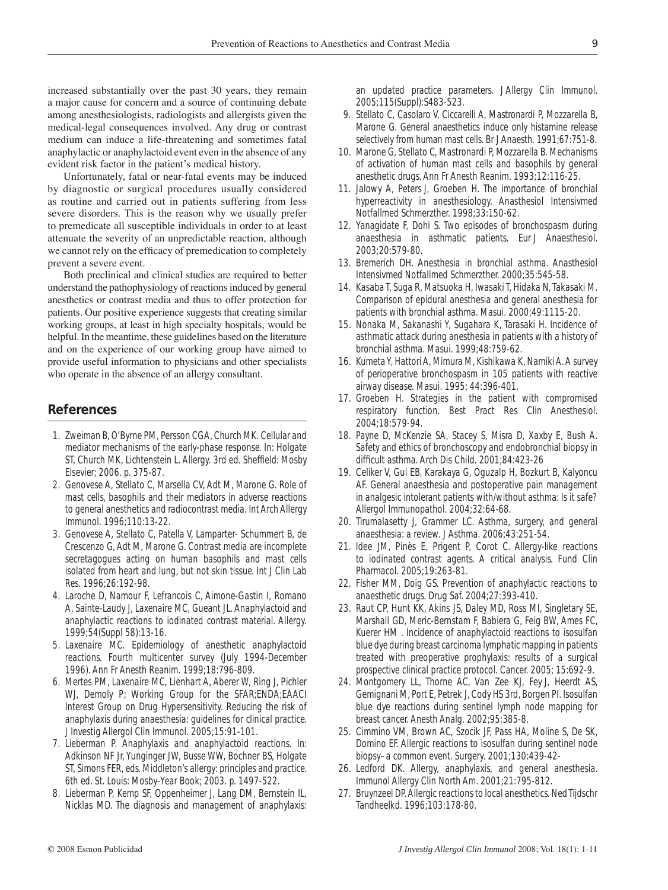increased substantially over the past 30 years, they remain a major cause for concern and a source of continuing debate among anesthesiologists, radiologists and allergists given the medical-legal consequences involved. Any drug or contrast medium can induce a life-threatening and sometimes fatal anaphylactic or anaphylactoid event even in the absence of any evident risk factor in the patient's medical history.

Unfortunately, fatal or near-fatal events may be induced by diagnostic or surgical procedures usually considered as routine and carried out in patients suffering from less severe disorders. This is the reason why we usually prefer to premedicate all susceptible individuals in order to at least attenuate the severity of an unpredictable reaction, although we cannot rely on the efficacy of premedication to completely prevent a severe event.

Both preclinical and clinical studies are required to better understand the pathophysiology of reactions induced by general anesthetics or contrast media and thus to offer protection for patients. Our positive experience suggests that creating similar working groups, at least in high specialty hospitals, would be helpful. In the meantime, these guidelines based on the literature and on the experience of our working group have aimed to provide useful information to physicians and other specialists who operate in the absence of an allergy consultant.

## **References**

- 1. Zweiman B, O'Byrne PM, Persson CGA, Church MK. Cellular and mediator mechanisms of the early-phase response. In: Holgate ST, Church MK, Lichtenstein L. Allergy. 3rd ed. Sheffield: Mosby Elsevier; 2006. p. 375-87.
- 2. Genovese A, Stellato C, Marsella CV, Adt M, Marone G. Role of mast cells, basophils and their mediators in adverse reactions to general anesthetics and radiocontrast media. Int Arch Allergy Immunol. 1996;110:13-22.
- 3. Genovese A, Stellato C, Patella V, Lamparter- Schummert B, de Crescenzo G, Adt M, Marone G. Contrast media are incomplete secretagogues acting on human basophils and mast cells isolated from heart and lung, but not skin tissue. Int J Clin Lab Res. 1996;26:192-98.
- 4. Laroche D, Namour F, Lefrancois C, Aimone-Gastin I, Romano A, Sainte-Laudy J, Laxenaire MC, Gueant JL. Anaphylactoid and anaphylactic reactions to iodinated contrast material. Allergy. 1999;54(Suppl 58):13-16.
- 5. Laxenaire MC. Epidemiology of anesthetic anaphylactoid reactions. Fourth multicenter survey (July 1994-December 1996). Ann Fr Anesth Reanim. 1999;18:796-809.
- 6. Mertes PM, Laxenaire MC, Lienhart A, Aberer W, Ring J, Pichler WJ, Demoly P; Working Group for the SFAR;ENDA;EAACI Interest Group on Drug Hypersensitivity. Reducing the risk of anaphylaxis during anaesthesia: guidelines for clinical practice. J Investig Allergol Clin Immunol. 2005;15:91-101.
- 7. Lieberman P. Anaphylaxis and anaphylactoid reactions. In: Adkinson NF Jr, Yunginger JW, Busse WW, Bochner BS, Holgate ST, Simons FER, eds. Middleton's allergy: principles and practice. 6th ed. St. Louis: Mosby-Year Book; 2003. p. 1497-522.
- 8. Lieberman P, Kemp SF, Oppenheimer J, Lang DM, Bernstein IL, Nicklas MD. The diagnosis and management of anaphylaxis:

an updated practice parameters. J Allergy Clin Immunol. 2005;115(Suppl):S483-523.

- 9. Stellato C, Casolaro V, Ciccarelli A, Mastronardi P, Mozzarella B, Marone G. General anaesthetics induce only histamine release selectively from human mast cells. Br J Anaesth. 1991;67:751-8.
- 10. Marone G, Stellato C, Mastronardi P, Mozzarella B. Mechanisms of activation of human mast cells and basophils by general anesthetic drugs. Ann Fr Anesth Reanim. 1993;12:116-25.
- 11. Jalowy A, Peters J, Groeben H. The importance of bronchial hyperreactivity in anesthesiology. Anasthesiol Intensivmed Notfallmed Schmerzther. 1998;33:150-62.
- 12. Yanagidate F, Dohi S. Two episodes of bronchospasm during anaesthesia in asthmatic patients. Eur J Anaesthesiol. 2003;20:579-80.
- 13. Bremerich DH. Anesthesia in bronchial asthma. Anasthesiol Intensivmed Notfallmed Schmerzther. 2000;35:545-58.
- 14. Kasaba T, Suga R, Matsuoka H, Iwasaki T, Hidaka N, Takasaki M. Comparison of epidural anesthesia and general anesthesia for patients with bronchial asthma. Masui. 2000;49:1115-20.
- 15. Nonaka M, Sakanashi Y, Sugahara K, Tarasaki H. Incidence of asthmatic attack during anesthesia in patients with a history of bronchial asthma. Masui. 1999;48:759-62.
- 16. Kumeta Y, Hattori A, Mimura M, Kishikawa K, Namiki A. A survey of perioperative bronchospasm in 105 patients with reactive airway disease. Masui. 1995; 44:396-401.
- 17. Groeben H. Strategies in the patient with compromised respiratory function. Best Pract Res Clin Anesthesiol. 2004;18:579-94.
- 18. Payne D, McKenzie SA, Stacey S, Misra D, Xaxby E, Bush A. Safety and ethics of bronchoscopy and endobronchial biopsy in difficult asthma. Arch Dis Child. 2001;84:423-26
- 19. Celiker V, Gul EB, Karakaya G, Oguzalp H, Bozkurt B, Kalyoncu AF. General anaesthesia and postoperative pain management in analgesic intolerant patients with/without asthma: Is it safe? Allergol Immunopathol. 2004;32:64-68.
- 20. Tirumalasetty J, Grammer LC. Asthma, surgery, and general anaesthesia: a review. J Asthma. 2006;43:251-54.
- 21. Idee JM, Pinès E, Prigent P, Corot C. Allergy-like reactions to iodinated contrast agents. A critical analysis. Fund Clin Pharmacol. 2005;19:263-81.
- 22. Fisher MM, Doig GS. Prevention of anaphylactic reactions to anaesthetic drugs. Drug Saf. 2004;27:393-410.
- 23. Raut CP, Hunt KK, Akins JS, Daley MD, Ross MI, Singletary SE, Marshall GD, Meric-Bernstam F, Babiera G, Feig BW, Ames FC, Kuerer HM . Incidence of anaphylactoid reactions to isosulfan blue dye during breast carcinoma lymphatic mapping in patients treated with preoperative prophylaxis: results of a surgical prospective clinical practice protocol. Cancer. 2005; 15:692-9.
- 24. Montgomery LL, Thorne AC, Van Zee KJ, Fey J, Heerdt AS, Gemignani M, Port E, Petrek J, Cody HS 3rd, Borgen PI. Isosulfan blue dye reactions during sentinel lymph node mapping for breast cancer. Anesth Analg. 2002;95:385-8.
- 25. Cimmino VM, Brown AC, Szocik JF, Pass HA, Moline S, De SK, Domino EF. Allergic reactions to isosulfan during sentinel node biopsy–a common event. Surgery. 2001;130:439-42-
- 26. Ledford DK. Allergy, anaphylaxis, and general anesthesia. Immunol Allergy Clin North Am. 2001;21:795-812.
- 27. Bruynzeel DP. Allergic reactions to local anesthetics. Ned Tijdschr Tandheelkd. 1996;103:178-80.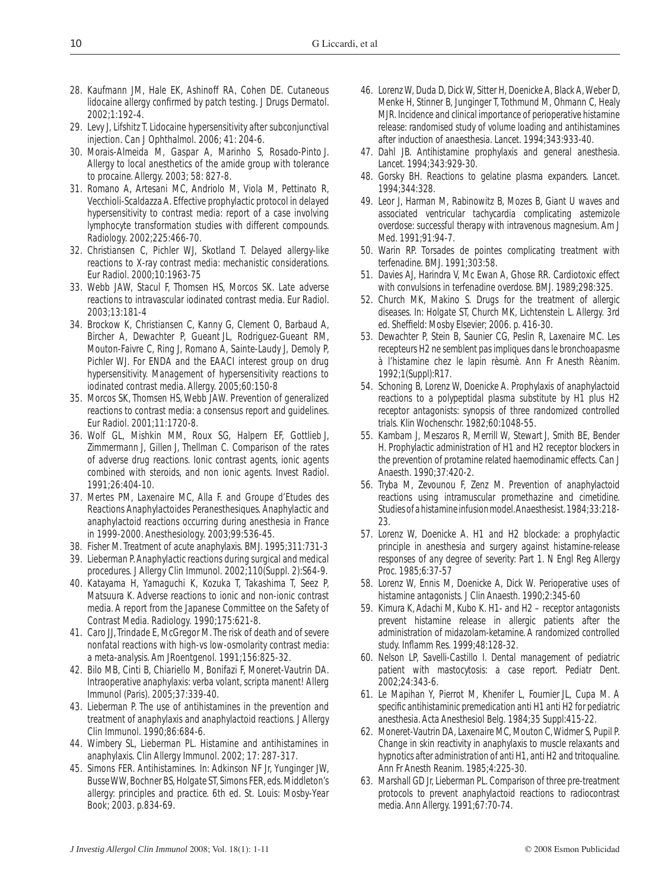- 28. Kaufmann JM, Hale EK, Ashinoff RA, Cohen DE. Cutaneous lidocaine allergy confirmed by patch testing. J Drugs Dermatol. 2002;1:192-4.
- 29. Levy J, Lifshitz T. Lidocaine hypersensitivity after subconjunctival injection. Can J Ophthalmol. 2006; 41: 204-6.
- 30. Morais-Almeida M, Gaspar A, Marinho S, Rosado-Pinto J. Allergy to local anesthetics of the amide group with tolerance to procaine. Allergy. 2003; 58: 827-8.
- 31. Romano A, Artesani MC, Andriolo M, Viola M, Pettinato R, Vecchioli-Scaldazza A. Effective prophylactic protocol in delayed hypersensitivity to contrast media: report of a case involving lymphocyte transformation studies with different compounds. Radiology. 2002;225:466-70.
- 32. Christiansen C, Pichler WJ, Skotland T. Delayed allergy-like reactions to X-ray contrast media: mechanistic considerations. Eur Radiol. 2000;10:1963-75
- 33. Webb JAW, Stacul F, Thomsen HS, Morcos SK. Late adverse reactions to intravascular iodinated contrast media. Eur Radiol. 2003;13:181-4
- 34. Brockow K, Christiansen C, Kanny G, Clement O, Barbaud A, Bircher A, Dewachter P, Gueant JL, Rodriguez-Gueant RM, Mouton-Faivre C, Ring J, Romano A, Sainte-Laudy J, Demoly P, Pichler WJ. For ENDA and the EAACI interest group on drug hypersensitivity. Management of hypersensitivity reactions to iodinated contrast media. Allergy. 2005;60:150-8
- 35. Morcos SK, Thomsen HS, Webb JAW. Prevention of generalized reactions to contrast media: a consensus report and guidelines. Eur Radiol. 2001;11:1720-8.
- 36. Wolf GL, Mishkin MM, Roux SG, Halpern EF, Gottlieb J, Zimmermann J, Gillen J, Thellman C. Comparison of the rates of adverse drug reactions. Ionic contrast agents, ionic agents combined with steroids, and non ionic agents. Invest Radiol. 1991;26:404-10.
- 37. Mertes PM, Laxenaire MC, Alla F. and Groupe d'Etudes des Reactions Anaphylactoides Peranesthesiques. Anaphylactic and anaphylactoid reactions occurring during anesthesia in France in 1999-2000. Anesthesiology. 2003;99:536-45.
- 38. Fisher M. Treatment of acute anaphylaxis. BMJ. 1995;311:731-3
- 39. Lieberman P. Anaphylactic reactions during surgical and medical procedures. J Allergy Clin Immunol. 2002;110(Suppl. 2):S64-9.
- 40. Katayama H, Yamaguchi K, Kozuka T, Takashima T, Seez P, Matsuura K. Adverse reactions to ionic and non-ionic contrast media. A report from the Japanese Committee on the Safety of Contrast Media. Radiology. 1990;175:621-8.
- 41. Caro JJ, Trindade E, McGregor M. The risk of death and of severe nonfatal reactions with high-vs low-osmolarity contrast media: a meta-analysis. Am JRoentgenol. 1991;156:825-32.
- 42. Bilo MB, Cinti B, Chiariello M, Bonifazi F, Moneret-Vautrin DA. Intraoperative anaphylaxis: verba volant, scripta manent! Allerg Immunol (Paris). 2005;37:339-40.
- 43. Lieberman P. The use of antihistamines in the prevention and treatment of anaphylaxis and anaphylactoid reactions. J Allergy Clin Immunol. 1990;86:684-6.
- 44. Wimbery SL, Lieberman PL. Histamine and antihistamines in anaphylaxis. Clin Allergy Immunol. 2002; 17: 287-317.
- 45. Simons FER. Antihistamines. In: Adkinson NF Jr, Yunginger JW, Busse WW, Bochner BS, Holgate ST, Simons FER, eds. Middleton's allergy: principles and practice. 6th ed. St. Louis: Mosby-Year Book; 2003. p.834-69.
- 46. Lorenz W, Duda D, Dick W, Sitter H, Doenicke A, Black A, Weber D, Menke H, Stinner B, Junginger T, Tothmund M, Ohmann C, Healy MJR. Incidence and clinical importance of perioperative histamine release: randomised study of volume loading and antihistamines after induction of anaesthesia. Lancet. 1994;343:933-40.
- 47. Dahl JB. Antihistamine prophylaxis and general anesthesia. Lancet. 1994;343:929-30.
- 48. Gorsky BH. Reactions to gelatine plasma expanders. Lancet. 1994;344:328.
- 49. Leor J, Harman M, Rabinowitz B, Mozes B, Giant U waves and associated ventricular tachycardia complicating astemizole overdose: successful therapy with intravenous magnesium. Am J Med. 1991;91:94-7.
- 50. Warin RP. Torsades de pointes complicating treatment with terfenadine. BMJ. 1991;303:58.
- 51. Davies AJ, Harindra V, Mc Ewan A, Ghose RR. Cardiotoxic effect with convulsions in terfenadine overdose. BMJ. 1989;298:325.
- 52. Church MK, Makino S. Drugs for the treatment of allergic diseases. In: Holgate ST, Church MK, Lichtenstein L. Allergy. 3rd ed. Sheffield: Mosby Elsevier; 2006. p. 416-30.
- 53. Dewachter P, Stein B, Saunier CG, Peslin R, Laxenaire MC. Les recepteurs H2 ne semblent pas impliques dans le bronchoapasme à l'histamine chez le lapin rèsumè. Ann Fr Anesth Rèanim. 1992;1(Suppl):R17.
- 54. Schoning B, Lorenz W, Doenicke A. Prophylaxis of anaphylactoid reactions to a polypeptidal plasma substitute by H1 plus H2 receptor antagonists: synopsis of three randomized controlled trials. Klin Wochenschr. 1982;60:1048-55.
- 55. Kambam J, Meszaros R, Merrill W, Stewart J, Smith BE, Bender H. Prophylactic administration of H1 and H2 receptor blockers in the prevention of protamine related haemodinamic effects. Can J Anaesth. 1990;37:420-2.
- 56. Tryba M, Zevounou F, Zenz M. Prevention of anaphylactoid reactions using intramuscular promethazine and cimetidine. Studies of a histamine infusion model. Anaesthesist. 1984;33:218- 23.
- 57. Lorenz W, Doenicke A. H1 and H2 blockade: a prophylactic principle in anesthesia and surgery against histamine-release responses of any degree of severity: Part 1. N Engl Reg Allergy Proc. 1985;6:37-57
- 58. Lorenz W, Ennis M, Doenicke A, Dick W. Perioperative uses of histamine antagonists. J Clin Anaesth. 1990;2:345-60
- 59. Kimura K, Adachi M, Kubo K. H1- and H2 receptor antagonists prevent histamine release in allergic patients after the administration of midazolam-ketamine. A randomized controlled study. Inflamm Res. 1999;48:128-32.
- 60. Nelson LP, Savelli-Castillo I. Dental management of pediatric patient with mastocytosis: a case report. Pediatr Dent. 2002;24:343-6.
- 61. Le Mapihan Y, Pierrot M, Khenifer L, Fournier JL, Cupa M. A specific antihistaminic premedication anti H1 anti H2 for pediatric anesthesia. Acta Anesthesiol Belg. 1984;35 Suppl:415-22.
- 62. Moneret-Vautrin DA, Laxenaire MC, Mouton C, Widmer S, Pupil P. Change in skin reactivity in anaphylaxis to muscle relaxants and hypnotics after administration of anti H1, anti H2 and tritoqualine. Ann Fr Anesth Reanim. 1985;4:225-30.
- 63. Marshall GD Jr, Lieberman PL. Comparison of three pre-treatment protocols to prevent anaphylactoid reactions to radiocontrast media. Ann Allergy. 1991;67:70-74.